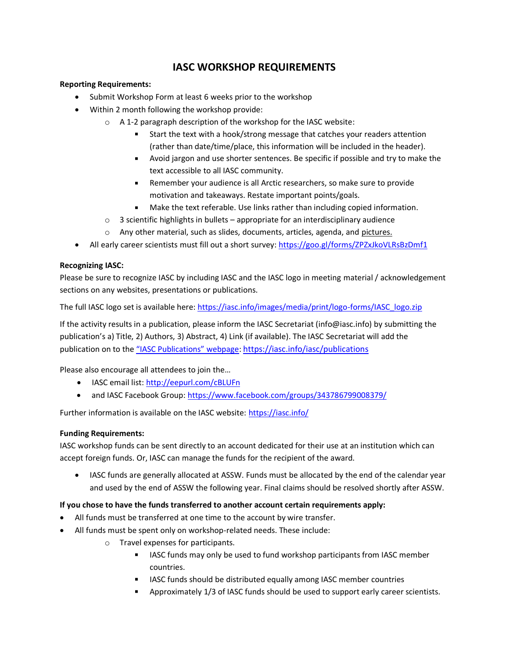# **IASC WORKSHOP REQUIREMENTS**

### **Reporting Requirements:**

- Submit Workshop Form at least 6 weeks prior to the workshop
- Within 2 month following the workshop provide:
	- o A 1-2 paragraph description of the workshop for the IASC website:
		- Start the text with a hook/strong message that catches your readers attention (rather than date/time/place, this information will be included in the header).
		- Avoid jargon and use shorter sentences. Be specific if possible and try to make the text accessible to all IASC community.
		- Remember your audience is all Arctic researchers, so make sure to provide motivation and takeaways. Restate important points/goals.
		- Make the text referable. Use links rather than including copied information.
	- $\circ$  3 scientific highlights in bullets appropriate for an interdisciplinary audience
	- o Any other material, such as slides, documents, articles, agenda, and pictures.
- All early career scientists must fill out a short survey: <https://goo.gl/forms/ZPZxJkoVLRsBzDmf1>

## **Recognizing IASC:**

Please be sure to recognize IASC by including IASC and the IASC logo in meeting material / acknowledgement sections on any websites, presentations or publications.

The full IASC logo set is available here[: https://iasc.info/images/media/print/logo-forms/IASC\\_logo.zip](https://iasc.info/images/media/print/logo-forms/IASC_logo.zip)

If the activity results in a publication, please inform the IASC Secretariat (info@iasc.info) by submitting the publication's a) Title, 2) Authors, 3) Abstract, 4) Link (if available). The IASC Secretariat will add the publication on to the ["IASC Publications" webpage](https://iasc.info/iasc/publications): <https://iasc.info/iasc/publications>

Please also encourage all attendees to join the…

- IASC email list[: http://eepurl.com/cBLUFn](http://eepurl.com/cBLUFn)
- and IASC Facebook Group[: https://www.facebook.com/groups/343786799008379/](https://www.facebook.com/groups/343786799008379/)

Further information is available on the IASC website[: https://iasc.info/](https://iasc.info/)

#### **Funding Requirements:**

IASC workshop funds can be sent directly to an account dedicated for their use at an institution which can accept foreign funds. Or, IASC can manage the funds for the recipient of the award.

• IASC funds are generally allocated at ASSW. Funds must be allocated by the end of the calendar year and used by the end of ASSW the following year. Final claims should be resolved shortly after ASSW.

#### **If you chose to have the funds transferred to another account certain requirements apply:**

- All funds must be transferred at one time to the account by wire transfer.
- All funds must be spent only on workshop-related needs. These include:
	- o Travel expenses for participants.
		- **IASC funds may only be used to fund workshop participants from IASC member** countries.
		- **IFM** IASC funds should be distributed equally among IASC member countries
		- Approximately 1/3 of IASC funds should be used to support early career scientists.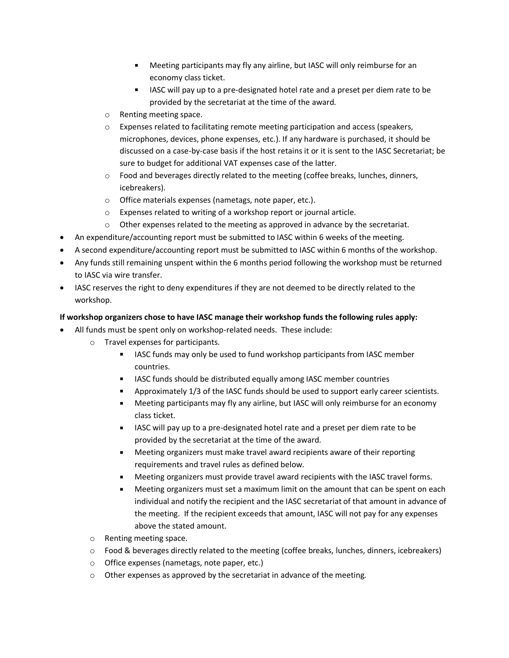- Meeting participants may fly any airline, but IASC will only reimburse for an economy class ticket.
- IASC will pay up to a pre-designated hotel rate and a preset per diem rate to be provided by the secretariat at the time of the award.
- o Renting meeting space.
- $\circ$  Expenses related to facilitating remote meeting participation and access (speakers, microphones, devices, phone expenses, etc.). If any hardware is purchased, it should be discussed on a case-by-case basis if the host retains it or it is sent to the IASC Secretariat; be sure to budget for additional VAT expenses case of the latter.
- $\circ$  Food and beverages directly related to the meeting (coffee breaks, lunches, dinners, icebreakers).
- o Office materials expenses (nametags, note paper, etc.).
- o Expenses related to writing of a workshop report or journal article.
- $\circ$  Other expenses related to the meeting as approved in advance by the secretariat.
- An expenditure/accounting report must be submitted to IASC within 6 weeks of the meeting.
- A second expenditure/accounting report must be submitted to IASC within 6 months of the workshop.
- Any funds still remaining unspent within the 6 months period following the workshop must be returned to IASC via wire transfer.
- IASC reserves the right to deny expenditures if they are not deemed to be directly related to the workshop.

#### **If workshop organizers chose to have IASC manage their workshop funds the following rules apply:**

- All funds must be spent only on workshop-related needs. These include:
	- o Travel expenses for participants.
		- $\mathbf{r}$ IASC funds may only be used to fund workshop participants from IASC member countries.
		- $\mathbf{r}$ IASC funds should be distributed equally among IASC member countries
		- $\blacksquare$ Approximately 1/3 of the IASC funds should be used to support early career scientists.
		- Meeting participants may fly any airline, but IASC will only reimburse for an economy  $\mathbf{r}$ class ticket.
		- IASC will pay up to a pre-designated hotel rate and a preset per diem rate to be  $\blacksquare$ provided by the secretariat at the time of the award.
		- $\mathbf{r}$ Meeting organizers must make travel award recipients aware of their reporting requirements and travel rules as defined below.
		- Meeting organizers must provide travel award recipients with the IASC travel forms.  $\mathbf{r}$
		- $\blacksquare$ Meeting organizers must set a maximum limit on the amount that can be spent on each individual and notify the recipient and the IASC secretariat of that amount in advance of the meeting. If the recipient exceeds that amount, IASC will not pay for any expenses above the stated amount.
	- o Renting meeting space.
	- o Food & beverages directly related to the meeting (coffee breaks, lunches, dinners, icebreakers)
	- o Office expenses (nametags, note paper, etc.)
	- o Other expenses as approved by the secretariat in advance of the meeting.